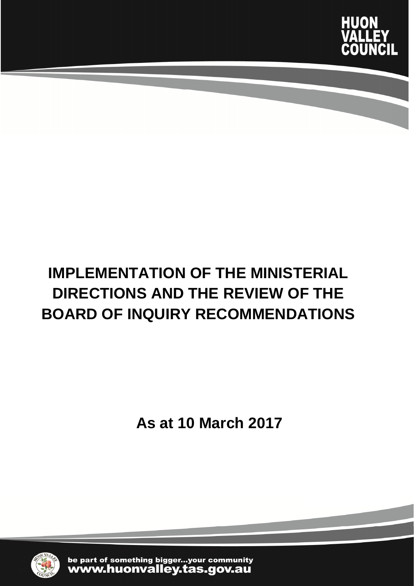

# **IMPLEMENTATION OF THE MINISTERIAL DIRECTIONS AND THE REVIEW OF THE BOARD OF INQUIRY RECOMMENDATIONS**

**As at 10 March 2017**



be part of something bigger...your community<br>WWW.huonvalley.tas.gov.au

Implementation of the Ministerial Directions and BOI Recommendations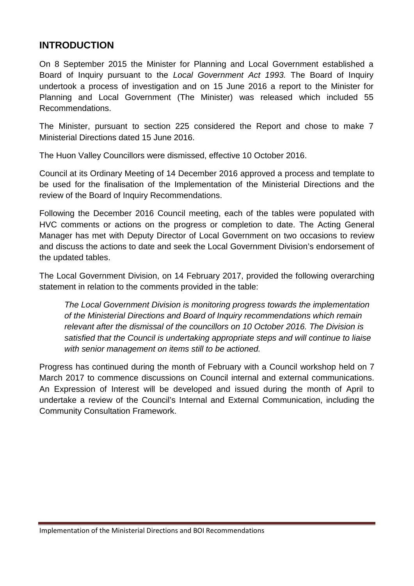### **INTRODUCTION**

On 8 September 2015 the Minister for Planning and Local Government established a Board of Inquiry pursuant to the *Local Government Act 1993.* The Board of Inquiry undertook a process of investigation and on 15 June 2016 a report to the Minister for Planning and Local Government (The Minister) was released which included 55 Recommendations.

The Minister, pursuant to section 225 considered the Report and chose to make 7 Ministerial Directions dated 15 June 2016.

The Huon Valley Councillors were dismissed, effective 10 October 2016.

Council at its Ordinary Meeting of 14 December 2016 approved a process and template to be used for the finalisation of the Implementation of the Ministerial Directions and the review of the Board of Inquiry Recommendations.

Following the December 2016 Council meeting, each of the tables were populated with HVC comments or actions on the progress or completion to date. The Acting General Manager has met with Deputy Director of Local Government on two occasions to review and discuss the actions to date and seek the Local Government Division's endorsement of the updated tables.

The Local Government Division, on 14 February 2017, provided the following overarching statement in relation to the comments provided in the table:

*The Local Government Division is monitoring progress towards the implementation of the Ministerial Directions and Board of Inquiry recommendations which remain relevant after the dismissal of the councillors on 10 October 2016. The Division is satisfied that the Council is undertaking appropriate steps and will continue to liaise with senior management on items still to be actioned.*

Progress has continued during the month of February with a Council workshop held on 7 March 2017 to commence discussions on Council internal and external communications. An Expression of Interest will be developed and issued during the month of April to undertake a review of the Council's Internal and External Communication, including the Community Consultation Framework.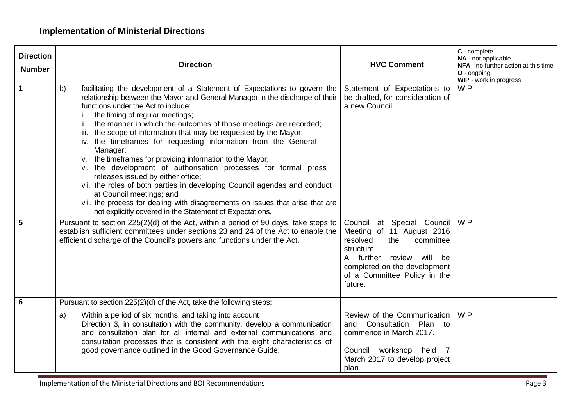| <b>Direction</b><br><b>Number</b> | <b>Direction</b>                                                                                                                                                                                                                                                                                                                                                                                                                                                                                                                                                                                                                                                                                                                                                                                                                                                                                                                                                                                                                                                                                                                                              | <b>HVC Comment</b>                                                                                                                                                                          | C - complete<br>NA - not applicable<br>NFA - no further action at this time<br>O - ongoing<br>WIP - work in progress |
|-----------------------------------|---------------------------------------------------------------------------------------------------------------------------------------------------------------------------------------------------------------------------------------------------------------------------------------------------------------------------------------------------------------------------------------------------------------------------------------------------------------------------------------------------------------------------------------------------------------------------------------------------------------------------------------------------------------------------------------------------------------------------------------------------------------------------------------------------------------------------------------------------------------------------------------------------------------------------------------------------------------------------------------------------------------------------------------------------------------------------------------------------------------------------------------------------------------|---------------------------------------------------------------------------------------------------------------------------------------------------------------------------------------------|----------------------------------------------------------------------------------------------------------------------|
| $\mathbf 1$<br>$5\phantom{1}$     | facilitating the development of a Statement of Expectations to govern the<br>b)<br>relationship between the Mayor and General Manager in the discharge of their<br>functions under the Act to include:<br>the timing of regular meetings;<br>Τ.<br>ii. the manner in which the outcomes of those meetings are recorded;<br>iii. the scope of information that may be requested by the Mayor;<br>iv. the timeframes for requesting information from the General<br>Manager;<br>v. the timeframes for providing information to the Mayor;<br>vi. the development of authorisation processes for formal press<br>releases issued by either office;<br>vii. the roles of both parties in developing Council agendas and conduct<br>at Council meetings; and<br>viii. the process for dealing with disagreements on issues that arise that are<br>not explicitly covered in the Statement of Expectations.<br>Pursuant to section 225(2)(d) of the Act, within a period of 90 days, take steps to<br>establish sufficient committees under sections 23 and 24 of the Act to enable the<br>efficient discharge of the Council's powers and functions under the Act. | Statement of Expectations to<br>be drafted, for consideration of<br>a new Council.<br>Council at Special Council<br>Meeting of 11 August 2016<br>resolved<br>the<br>committee<br>structure. | <b>WIP</b><br><b>WIP</b>                                                                                             |
|                                   |                                                                                                                                                                                                                                                                                                                                                                                                                                                                                                                                                                                                                                                                                                                                                                                                                                                                                                                                                                                                                                                                                                                                                               | review will be<br>A further<br>completed on the development<br>of a Committee Policy in the<br>future.                                                                                      |                                                                                                                      |
| 6                                 | Pursuant to section 225(2)(d) of the Act, take the following steps:                                                                                                                                                                                                                                                                                                                                                                                                                                                                                                                                                                                                                                                                                                                                                                                                                                                                                                                                                                                                                                                                                           |                                                                                                                                                                                             |                                                                                                                      |
|                                   | Within a period of six months, and taking into account<br>a)<br>Direction 3, in consultation with the community, develop a communication<br>and consultation plan for all internal and external communications and<br>consultation processes that is consistent with the eight characteristics of<br>good governance outlined in the Good Governance Guide.                                                                                                                                                                                                                                                                                                                                                                                                                                                                                                                                                                                                                                                                                                                                                                                                   | Review of the Communication<br>and Consultation Plan to<br>commence in March 2017.<br>Council workshop held 7<br>March 2017 to develop project<br>plan.                                     | <b>WIP</b>                                                                                                           |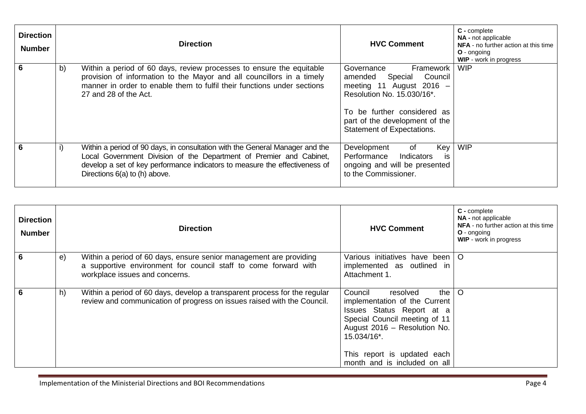| <b>Direction</b><br><b>Number</b> |    | <b>Direction</b>                                                                                                                                                                                                                                                    | <b>HVC Comment</b>                                                                                                                                                                                                         | C - complete<br>NA - not applicable<br>NFA - no further action at this time<br>$O$ - ongoing<br>WIP - work in progress |
|-----------------------------------|----|---------------------------------------------------------------------------------------------------------------------------------------------------------------------------------------------------------------------------------------------------------------------|----------------------------------------------------------------------------------------------------------------------------------------------------------------------------------------------------------------------------|------------------------------------------------------------------------------------------------------------------------|
|                                   | b) | Within a period of 60 days, review processes to ensure the equitable<br>provision of information to the Mayor and all councillors in a timely<br>manner in order to enable them to fulfil their functions under sections<br>27 and 28 of the Act.                   | Framework<br>Governance<br>Council<br>amended<br>Special<br>meeting 11 August 2016 $-$<br>Resolution No. 15.030/16*.<br>To be further considered as<br>part of the development of the<br><b>Statement of Expectations.</b> | <b>WIP</b>                                                                                                             |
|                                   | i) | Within a period of 90 days, in consultation with the General Manager and the<br>Local Government Division of the Department of Premier and Cabinet,<br>develop a set of key performance indicators to measure the effectiveness of<br>Directions 6(a) to (h) above. | Development<br>Key<br>of<br>Performance<br>Indicators<br>is<br>ongoing and will be presented<br>to the Commissioner.                                                                                                       | <b>WIP</b>                                                                                                             |

| <b>Direction</b><br><b>Number</b> |            | <b>Direction</b>                                                                                                                                                        | <b>HVC Comment</b>                                                                                                                                                                                                                        | C - complete<br><b>NA</b> - not applicable<br>NFA - no further action at this time<br><b>O</b> - ongoing<br>WIP - work in progress |
|-----------------------------------|------------|-------------------------------------------------------------------------------------------------------------------------------------------------------------------------|-------------------------------------------------------------------------------------------------------------------------------------------------------------------------------------------------------------------------------------------|------------------------------------------------------------------------------------------------------------------------------------|
| 6                                 | $\Theta$ ) | Within a period of 60 days, ensure senior management are providing<br>a supportive environment for council staff to come forward with<br>workplace issues and concerns. | Various initiatives have been   O<br>implemented as outlined in<br>Attachment 1.                                                                                                                                                          |                                                                                                                                    |
| 6                                 | h)         | Within a period of 60 days, develop a transparent process for the regular<br>review and communication of progress on issues raised with the Council.                    | Council<br>the I<br>resolved<br>implementation of the Current<br>Issues Status Report at a<br>Special Council meeting of 11<br>August 2016 - Resolution No.<br>15.034/16*.<br>This report is updated each<br>month and is included on all | $\circ$                                                                                                                            |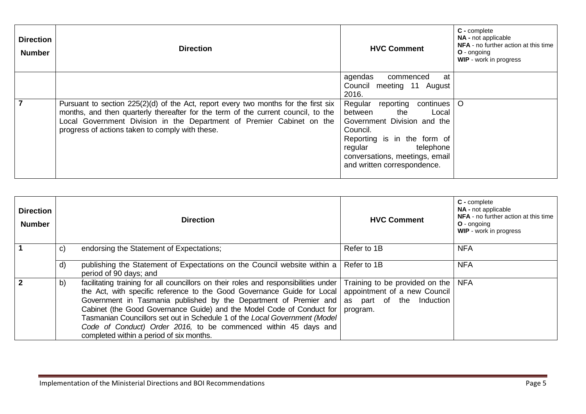| <b>Direction</b><br><b>Number</b> | <b>Direction</b>                                                                                                                                                                                                                                                                                       | <b>HVC Comment</b>                                                                                                                                                                                                           | C - complete<br><b>NA</b> - not applicable<br><b>NFA</b> - no further action at this time<br>$O$ - ongoing<br><b>WIP</b> - work in progress |
|-----------------------------------|--------------------------------------------------------------------------------------------------------------------------------------------------------------------------------------------------------------------------------------------------------------------------------------------------------|------------------------------------------------------------------------------------------------------------------------------------------------------------------------------------------------------------------------------|---------------------------------------------------------------------------------------------------------------------------------------------|
|                                   |                                                                                                                                                                                                                                                                                                        | agendas<br>at<br>commenced<br>Council meeting 11 August<br>2016.                                                                                                                                                             |                                                                                                                                             |
| 7                                 | Pursuant to section $225(2)(d)$ of the Act, report every two months for the first six<br>months, and then quarterly thereafter for the term of the current council, to the<br>Local Government Division in the Department of Premier Cabinet on the<br>progress of actions taken to comply with these. | Regular reporting<br>continues<br>the<br>between<br>Local<br>Government Division and the<br>Council.<br>Reporting is in the form of<br>telephone<br>regular<br>conversations, meetings, email<br>and written correspondence. | $\circ$                                                                                                                                     |

| <b>Direction</b><br><b>Number</b> |    | <b>Direction</b>                                                                                                                                                                                                                                                                                                                                                                                                                                                                                                                   | <b>HVC Comment</b>                                                         | C - complete<br><b>NA</b> - not applicable<br>NFA - no further action at this time<br><b>O</b> - ongoing<br>WIP - work in progress |
|-----------------------------------|----|------------------------------------------------------------------------------------------------------------------------------------------------------------------------------------------------------------------------------------------------------------------------------------------------------------------------------------------------------------------------------------------------------------------------------------------------------------------------------------------------------------------------------------|----------------------------------------------------------------------------|------------------------------------------------------------------------------------------------------------------------------------|
| $\blacktriangleleft$              | C) | endorsing the Statement of Expectations;                                                                                                                                                                                                                                                                                                                                                                                                                                                                                           | Refer to 1B                                                                | <b>NFA</b>                                                                                                                         |
|                                   | d) | publishing the Statement of Expectations on the Council website within a<br>period of 90 days; and                                                                                                                                                                                                                                                                                                                                                                                                                                 | Refer to 1B                                                                | <b>NFA</b>                                                                                                                         |
| $\overline{\mathbf{z}}$           | b) | facilitating training for all councillors on their roles and responsibilities under<br>the Act, with specific reference to the Good Governance Guide for Local<br>Government in Tasmania published by the Department of Premier and as part of the Induction<br>Cabinet (the Good Governance Guide) and the Model Code of Conduct for<br>Tasmanian Councillors set out in Schedule 1 of the Local Government (Model<br>Code of Conduct) Order 2016, to be commenced within 45 days and<br>completed within a period of six months. | Training to be provided on the<br>appointment of a new Council<br>program. | <b>NFA</b>                                                                                                                         |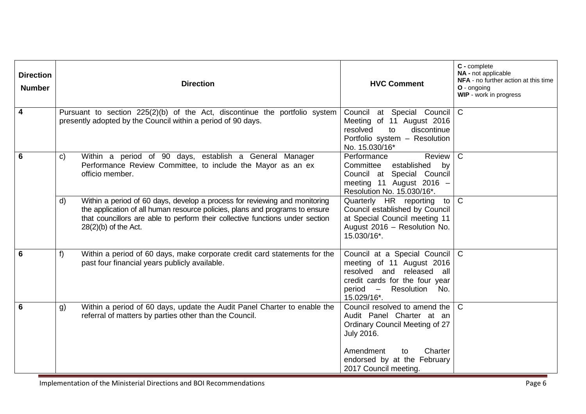| <b>Direction</b><br><b>Number</b> | <b>Direction</b>                                                                                                                                                                                                                                                                      | <b>HVC Comment</b>                                                                                                                                                                                      | C - complete<br>NA - not applicable<br>NFA - no further action at this time<br>O - ongoing<br>WIP - work in progress |
|-----------------------------------|---------------------------------------------------------------------------------------------------------------------------------------------------------------------------------------------------------------------------------------------------------------------------------------|---------------------------------------------------------------------------------------------------------------------------------------------------------------------------------------------------------|----------------------------------------------------------------------------------------------------------------------|
| $\overline{\mathbf{4}}$           | Pursuant to section 225(2)(b) of the Act, discontinue the portfolio system<br>presently adopted by the Council within a period of 90 days.                                                                                                                                            | Council at Special Council<br>Meeting of 11 August 2016<br>resolved<br>to<br>discontinue<br>Portfolio system - Resolution<br>No. 15.030/16*                                                             | $\overline{C}$                                                                                                       |
| 6                                 | Within a period of 90 days, establish a General Manager<br>C)<br>Performance Review Committee, to include the Mayor as an ex<br>officio member.                                                                                                                                       | Performance<br>Review<br>established by<br>Committee<br>Council at Special Council<br>meeting 11 August 2016 -<br>Resolution No. 15.030/16*.                                                            | $\mathsf{C}$                                                                                                         |
|                                   | Within a period of 60 days, develop a process for reviewing and monitoring<br>$\mathsf{d}$<br>the application of all human resource policies, plans and programs to ensure<br>that councillors are able to perform their collective functions under section<br>$28(2)(b)$ of the Act. | Quarterly HR reporting<br>to<br>Council established by Council<br>at Special Council meeting 11<br>August 2016 - Resolution No.<br>15.030/16*.                                                          | $\overline{C}$                                                                                                       |
| 6                                 | Within a period of 60 days, make corporate credit card statements for the<br>f<br>past four financial years publicly available.                                                                                                                                                       | Council at a Special Council<br>meeting of 11 August 2016<br>resolved and released all<br>credit cards for the four year<br>period –<br>Resolution No.<br>15.029/16*.                                   | $\mathsf{C}$                                                                                                         |
| 6                                 | Within a period of 60 days, update the Audit Panel Charter to enable the<br>g)<br>referral of matters by parties other than the Council.                                                                                                                                              | Council resolved to amend the<br>Audit Panel Charter at an<br>Ordinary Council Meeting of 27<br><b>July 2016.</b><br>Amendment<br>Charter<br>to<br>endorsed by at the February<br>2017 Council meeting. | $\mathsf{C}$                                                                                                         |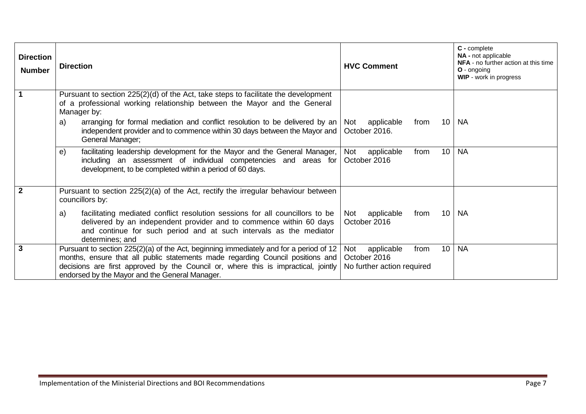| <b>Direction</b><br><b>Number</b> | <b>Direction</b>                                                                                                                                                                                                                                                                                                 | <b>HVC Comment</b>                                                            | C - complete<br><b>NA</b> - not applicable<br>NFA - no further action at this time<br>O - ongoing<br>WIP - work in progress |
|-----------------------------------|------------------------------------------------------------------------------------------------------------------------------------------------------------------------------------------------------------------------------------------------------------------------------------------------------------------|-------------------------------------------------------------------------------|-----------------------------------------------------------------------------------------------------------------------------|
|                                   | Pursuant to section 225(2)(d) of the Act, take steps to facilitate the development<br>of a professional working relationship between the Mayor and the General<br>Manager by:                                                                                                                                    |                                                                               |                                                                                                                             |
|                                   | arranging for formal mediation and conflict resolution to be delivered by an<br>a)<br>independent provider and to commence within 30 days between the Mayor and<br>General Manager;                                                                                                                              | 10 <sup>°</sup><br>applicable<br>from<br>Not<br>October 2016.                 | <b>NA</b>                                                                                                                   |
|                                   | facilitating leadership development for the Mayor and the General Manager,<br>e)<br>including an assessment of individual competencies and areas for<br>development, to be completed within a period of 60 days.                                                                                                 | 10<br>Not<br>applicable<br>from<br>October 2016                               | <b>NA</b>                                                                                                                   |
| $\overline{2}$                    | Pursuant to section $225(2)(a)$ of the Act, rectify the irregular behaviour between<br>councillors by:                                                                                                                                                                                                           |                                                                               |                                                                                                                             |
|                                   | facilitating mediated conflict resolution sessions for all councillors to be<br>a)<br>delivered by an independent provider and to commence within 60 days<br>and continue for such period and at such intervals as the mediator<br>determines; and                                                               | applicable<br>10 <sup>°</sup><br>from<br>Not<br>October 2016                  | <b>NA</b>                                                                                                                   |
| $\overline{\mathbf{3}}$           | Pursuant to section 225(2)(a) of the Act, beginning immediately and for a period of 12<br>months, ensure that all public statements made regarding Council positions and<br>decisions are first approved by the Council or, where this is impractical, jointly<br>endorsed by the Mayor and the General Manager. | 10<br>Not<br>applicable<br>from<br>October 2016<br>No further action required | <b>NA</b>                                                                                                                   |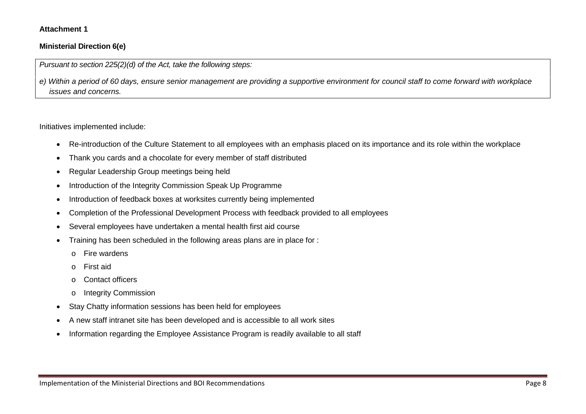#### **Attachment 1**

#### **Ministerial Direction 6(e)**

*Pursuant to section 225(2)(d) of the Act, take the following steps:*

*e) Within a period of 60 days, ensure senior management are providing a supportive environment for council staff to come forward with workplace issues and concerns.*

Initiatives implemented include:

- Re-introduction of the Culture Statement to all employees with an emphasis placed on its importance and its role within the workplace
- Thank you cards and a chocolate for every member of staff distributed
- Regular Leadership Group meetings being held
- Introduction of the Integrity Commission Speak Up Programme
- Introduction of feedback boxes at worksites currently being implemented
- Completion of the Professional Development Process with feedback provided to all employees
- Several employees have undertaken a mental health first aid course
- Training has been scheduled in the following areas plans are in place for :
	- o Fire wardens
	- o First aid
	- o Contact officers
	- o Integrity Commission
- Stay Chatty information sessions has been held for employees
- A new staff intranet site has been developed and is accessible to all work sites
- Information regarding the Employee Assistance Program is readily available to all staff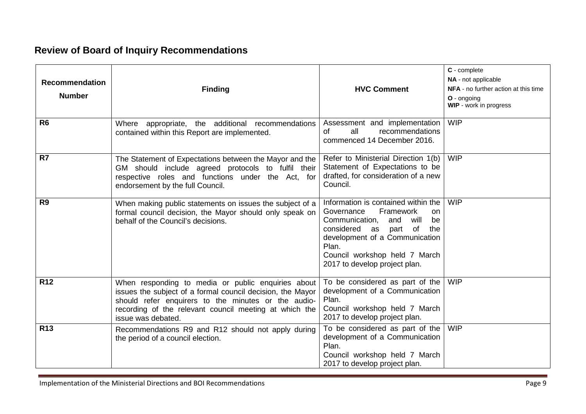## **Review of Board of Inquiry Recommendations**

| <b>Recommendation</b><br><b>Number</b> | <b>Finding</b>                                                                                                                                                                                                                                          | <b>HVC Comment</b>                                                                                                                                                                                                                                        | C - complete<br>NA - not applicable<br><b>NFA</b> - no further action at this time<br>O - ongoing<br>WIP - work in progress |
|----------------------------------------|---------------------------------------------------------------------------------------------------------------------------------------------------------------------------------------------------------------------------------------------------------|-----------------------------------------------------------------------------------------------------------------------------------------------------------------------------------------------------------------------------------------------------------|-----------------------------------------------------------------------------------------------------------------------------|
| R <sub>6</sub>                         | Where appropriate, the additional recommendations<br>contained within this Report are implemented.                                                                                                                                                      | Assessment and implementation<br>all<br><b>of</b><br>recommendations<br>commenced 14 December 2016.                                                                                                                                                       | <b>WIP</b>                                                                                                                  |
| R7                                     | The Statement of Expectations between the Mayor and the<br>GM should include agreed protocols to fulfil their<br>respective roles and functions under the Act, for<br>endorsement by the full Council.                                                  | Refer to Ministerial Direction 1(b)<br>Statement of Expectations to be<br>drafted, for consideration of a new<br>Council.                                                                                                                                 | <b>WIP</b>                                                                                                                  |
| R <sub>9</sub>                         | When making public statements on issues the subject of a<br>formal council decision, the Mayor should only speak on<br>behalf of the Council's decisions.                                                                                               | Information is contained within the<br>Framework<br>Governance<br>on.<br>Communication,<br>and<br>will<br>be<br>considered as part of<br>the<br>development of a Communication<br>Plan.<br>Council workshop held 7 March<br>2017 to develop project plan. | <b>WIP</b>                                                                                                                  |
| <b>R12</b>                             | When responding to media or public enquiries about<br>issues the subject of a formal council decision, the Mayor<br>should refer enquirers to the minutes or the audio-<br>recording of the relevant council meeting at which the<br>issue was debated. | To be considered as part of the<br>development of a Communication<br>Plan.<br>Council workshop held 7 March<br>2017 to develop project plan.                                                                                                              | <b>WIP</b>                                                                                                                  |
| <b>R13</b>                             | Recommendations R9 and R12 should not apply during<br>the period of a council election.                                                                                                                                                                 | To be considered as part of the<br>development of a Communication<br>Plan.<br>Council workshop held 7 March<br>2017 to develop project plan.                                                                                                              | <b>WIP</b>                                                                                                                  |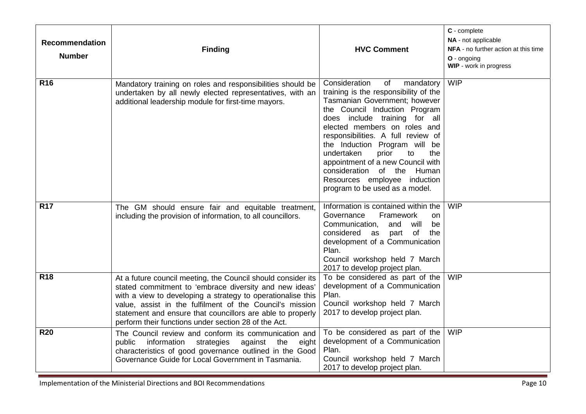| <b>Recommendation</b><br><b>Number</b> | <b>Finding</b>                                                                                                                                                                                                                                                                                                                                                          | <b>HVC Comment</b>                                                                                                                                                                                                                                                                                                                                                                                                                                           | C - complete<br>NA - not applicable<br>NFA - no further action at this time<br>O - ongoing<br>WIP - work in progress |
|----------------------------------------|-------------------------------------------------------------------------------------------------------------------------------------------------------------------------------------------------------------------------------------------------------------------------------------------------------------------------------------------------------------------------|--------------------------------------------------------------------------------------------------------------------------------------------------------------------------------------------------------------------------------------------------------------------------------------------------------------------------------------------------------------------------------------------------------------------------------------------------------------|----------------------------------------------------------------------------------------------------------------------|
| <b>R16</b>                             | Mandatory training on roles and responsibilities should be<br>undertaken by all newly elected representatives, with an<br>additional leadership module for first-time mayors.                                                                                                                                                                                           | Consideration<br>of<br>mandatory<br>training is the responsibility of the<br>Tasmanian Government; however<br>the Council Induction Program<br>does include training for all<br>elected members on roles and<br>responsibilities. A full review of<br>the Induction Program will be<br>undertaken<br>prior<br>to<br>the<br>appointment of a new Council with<br>consideration of the Human<br>Resources employee induction<br>program to be used as a model. | <b>WIP</b>                                                                                                           |
| <b>R17</b>                             | The GM should ensure fair and equitable treatment,<br>including the provision of information, to all councillors.                                                                                                                                                                                                                                                       | Information is contained within the<br>Governance<br>Framework<br><b>on</b><br>Communication,<br>and<br>will<br>be<br>considered as part of<br>the<br>development of a Communication<br>Plan.<br>Council workshop held 7 March<br>2017 to develop project plan.                                                                                                                                                                                              | <b>WIP</b>                                                                                                           |
| <b>R18</b>                             | At a future council meeting, the Council should consider its<br>stated commitment to 'embrace diversity and new ideas'<br>with a view to developing a strategy to operationalise this<br>value, assist in the fulfilment of the Council's mission<br>statement and ensure that councillors are able to properly<br>perform their functions under section 28 of the Act. | To be considered as part of the<br>development of a Communication<br>Plan.<br>Council workshop held 7 March<br>2017 to develop project plan.                                                                                                                                                                                                                                                                                                                 | <b>WIP</b>                                                                                                           |
| <b>R20</b>                             | The Council review and conform its communication and<br>public information<br>strategies<br>against<br>the<br>eight<br>characteristics of good governance outlined in the Good<br>Governance Guide for Local Government in Tasmania.                                                                                                                                    | To be considered as part of the<br>development of a Communication<br>Plan.<br>Council workshop held 7 March<br>2017 to develop project plan.                                                                                                                                                                                                                                                                                                                 | <b>WIP</b>                                                                                                           |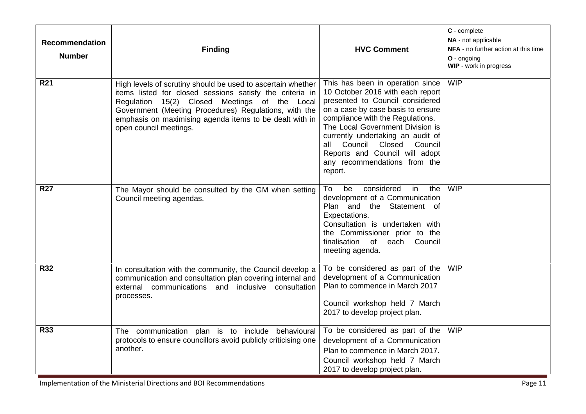| <b>Recommendation</b><br><b>Number</b> | <b>Finding</b>                                                                                                                                                                                                                                                                                                         | <b>HVC Comment</b>                                                                                                                                                                                                                                                                                                                                                      | C - complete<br>NA - not applicable<br>NFA - no further action at this time<br>O - ongoing<br>WIP - work in progress |
|----------------------------------------|------------------------------------------------------------------------------------------------------------------------------------------------------------------------------------------------------------------------------------------------------------------------------------------------------------------------|-------------------------------------------------------------------------------------------------------------------------------------------------------------------------------------------------------------------------------------------------------------------------------------------------------------------------------------------------------------------------|----------------------------------------------------------------------------------------------------------------------|
| <b>R21</b>                             | High levels of scrutiny should be used to ascertain whether<br>items listed for closed sessions satisfy the criteria in<br>Regulation 15(2) Closed Meetings of the Local<br>Government (Meeting Procedures) Regulations, with the<br>emphasis on maximising agenda items to be dealt with in<br>open council meetings. | This has been in operation since<br>10 October 2016 with each report<br>presented to Council considered<br>on a case by case basis to ensure<br>compliance with the Regulations.<br>The Local Government Division is<br>currently undertaking an audit of<br>all Council Closed<br>Council<br>Reports and Council will adopt<br>any recommendations from the<br>report. | <b>WIP</b>                                                                                                           |
| <b>R27</b>                             | The Mayor should be consulted by the GM when setting<br>Council meeting agendas.                                                                                                                                                                                                                                       | considered<br>To<br>be<br>in<br>the<br>development of a Communication<br>Plan and the Statement of<br>Expectations.<br>Consultation is undertaken with<br>the Commissioner prior to the<br>finalisation<br>of each Council<br>meeting agenda.                                                                                                                           | <b>WIP</b>                                                                                                           |
| <b>R32</b>                             | In consultation with the community, the Council develop a<br>communication and consultation plan covering internal and<br>external communications and inclusive consultation<br>processes.                                                                                                                             | To be considered as part of the<br>development of a Communication<br>Plan to commence in March 2017<br>Council workshop held 7 March<br>2017 to develop project plan.                                                                                                                                                                                                   | <b>WIP</b>                                                                                                           |
| <b>R33</b>                             | The communication plan is to include behavioural<br>protocols to ensure councillors avoid publicly criticising one<br>another.                                                                                                                                                                                         | To be considered as part of the<br>development of a Communication<br>Plan to commence in March 2017.<br>Council workshop held 7 March<br>2017 to develop project plan.                                                                                                                                                                                                  | <b>WIP</b>                                                                                                           |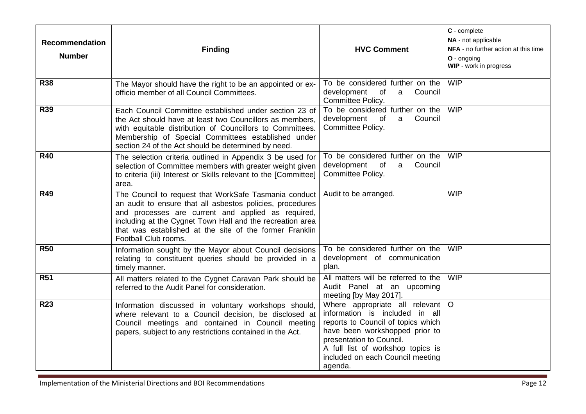| <b>Recommendation</b><br><b>Number</b> | <b>Finding</b>                                                                                                                                                                                                                                                                                                           | <b>HVC Comment</b>                                                                                                                                                                                                                                       | C - complete<br>NA - not applicable<br>NFA - no further action at this time<br>O - ongoing<br>WIP - work in progress |
|----------------------------------------|--------------------------------------------------------------------------------------------------------------------------------------------------------------------------------------------------------------------------------------------------------------------------------------------------------------------------|----------------------------------------------------------------------------------------------------------------------------------------------------------------------------------------------------------------------------------------------------------|----------------------------------------------------------------------------------------------------------------------|
| <b>R38</b>                             | The Mayor should have the right to be an appointed or ex-<br>officio member of all Council Committees.                                                                                                                                                                                                                   | To be considered further on the<br>development<br>Council<br>of<br>$\mathsf{a}$<br>Committee Policy.                                                                                                                                                     | <b>WIP</b>                                                                                                           |
| <b>R39</b>                             | Each Council Committee established under section 23 of<br>the Act should have at least two Councillors as members.<br>with equitable distribution of Councillors to Committees.<br>Membership of Special Committees established under<br>section 24 of the Act should be determined by need.                             | To be considered further on the<br>development of<br>Council<br>a<br>Committee Policy.                                                                                                                                                                   | <b>WIP</b>                                                                                                           |
| <b>R40</b>                             | The selection criteria outlined in Appendix 3 be used for<br>selection of Committee members with greater weight given<br>to criteria (iii) Interest or Skills relevant to the [Committee]<br>area.                                                                                                                       | To be considered further on the<br>development<br>of<br>Council<br>a<br>Committee Policy.                                                                                                                                                                | <b>WIP</b>                                                                                                           |
| <b>R49</b>                             | The Council to request that WorkSafe Tasmania conduct<br>an audit to ensure that all asbestos policies, procedures<br>and processes are current and applied as required,<br>including at the Cygnet Town Hall and the recreation area<br>that was established at the site of the former Franklin<br>Football Club rooms. | Audit to be arranged.                                                                                                                                                                                                                                    | <b>WIP</b>                                                                                                           |
| <b>R50</b>                             | Information sought by the Mayor about Council decisions<br>relating to constituent queries should be provided in a<br>timely manner.                                                                                                                                                                                     | To be considered further on the<br>development of communication<br>plan.                                                                                                                                                                                 | <b>WIP</b>                                                                                                           |
| <b>R51</b>                             | All matters related to the Cygnet Caravan Park should be<br>referred to the Audit Panel for consideration.                                                                                                                                                                                                               | All matters will be referred to the<br>Audit Panel at an upcoming<br>meeting [by May 2017].                                                                                                                                                              | <b>WIP</b>                                                                                                           |
| <b>R23</b>                             | Information discussed in voluntary workshops should,<br>where relevant to a Council decision, be disclosed at<br>Council meetings and contained in Council meeting<br>papers, subject to any restrictions contained in the Act.                                                                                          | Where appropriate all relevant<br>information is included in all<br>reports to Council of topics which<br>have been workshopped prior to<br>presentation to Council.<br>A full list of workshop topics is<br>included on each Council meeting<br>agenda. | $\circ$                                                                                                              |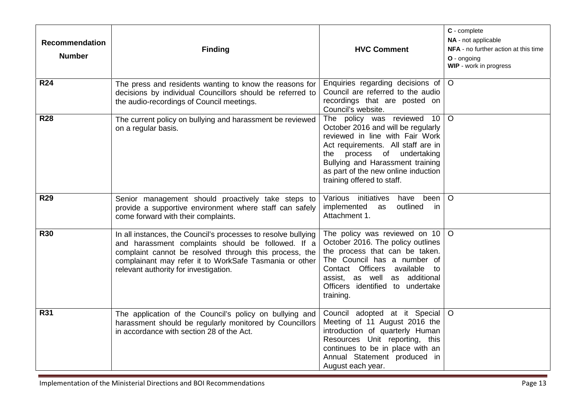| <b>Recommendation</b><br><b>Number</b> | <b>Finding</b>                                                                                                                                                                                                                                                                   | <b>HVC Comment</b>                                                                                                                                                                                                                                                               | C - complete<br>NA - not applicable<br>NFA - no further action at this time<br>O - ongoing<br>WIP - work in progress |
|----------------------------------------|----------------------------------------------------------------------------------------------------------------------------------------------------------------------------------------------------------------------------------------------------------------------------------|----------------------------------------------------------------------------------------------------------------------------------------------------------------------------------------------------------------------------------------------------------------------------------|----------------------------------------------------------------------------------------------------------------------|
| <b>R24</b>                             | The press and residents wanting to know the reasons for<br>decisions by individual Councillors should be referred to<br>the audio-recordings of Council meetings.                                                                                                                | Enquiries regarding decisions of<br>Council are referred to the audio<br>recordings that are posted on<br>Council's website.                                                                                                                                                     | $\circ$                                                                                                              |
| <b>R28</b>                             | The current policy on bullying and harassment be reviewed<br>on a regular basis.                                                                                                                                                                                                 | The policy was reviewed 10<br>October 2016 and will be regularly<br>reviewed in line with Fair Work<br>Act requirements. All staff are in<br>the process of undertaking<br>Bullying and Harassment training<br>as part of the new online induction<br>training offered to staff. | $\circ$                                                                                                              |
| <b>R29</b>                             | Senior management should proactively take steps to<br>provide a supportive environment where staff can safely<br>come forward with their complaints.                                                                                                                             | Various initiatives<br>have been<br>implemented<br>outlined<br>as<br>- in<br>Attachment 1.                                                                                                                                                                                       | $\circ$                                                                                                              |
| <b>R30</b>                             | In all instances, the Council's processes to resolve bullying<br>and harassment complaints should be followed. If a<br>complaint cannot be resolved through this process, the<br>complainant may refer it to WorkSafe Tasmania or other<br>relevant authority for investigation. | The policy was reviewed on 10<br>October 2016. The policy outlines<br>the process that can be taken.<br>The Council has a number of<br>Contact Officers available to<br>assist, as well as additional<br>Officers identified to undertake<br>training.                           | $\circ$                                                                                                              |
| <b>R31</b>                             | The application of the Council's policy on bullying and<br>harassment should be regularly monitored by Councillors<br>in accordance with section 28 of the Act.                                                                                                                  | Council adopted at it Special<br>Meeting of 11 August 2016 the<br>introduction of quarterly Human<br>Resources Unit reporting, this<br>continues to be in place with an<br>Annual Statement produced in<br>August each year.                                                     | $\circ$                                                                                                              |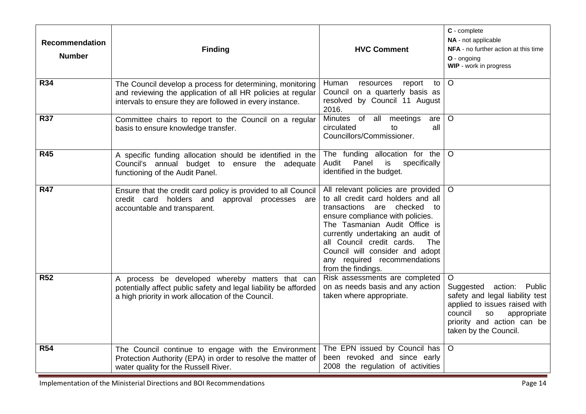| <b>Recommendation</b><br><b>Number</b> | <b>Finding</b>                                                                                                                                                                       | <b>HVC Comment</b>                                                                                                                                                                                                                                                                                                                                   | C - complete<br>NA - not applicable<br>NFA - no further action at this time<br>$O -$ ongoing<br>WIP - work in progress                                                                         |
|----------------------------------------|--------------------------------------------------------------------------------------------------------------------------------------------------------------------------------------|------------------------------------------------------------------------------------------------------------------------------------------------------------------------------------------------------------------------------------------------------------------------------------------------------------------------------------------------------|------------------------------------------------------------------------------------------------------------------------------------------------------------------------------------------------|
| <b>R34</b>                             | The Council develop a process for determining, monitoring<br>and reviewing the application of all HR policies at regular<br>intervals to ensure they are followed in every instance. | Human<br>to<br>resources<br>report<br>Council on a quarterly basis as<br>resolved by Council 11 August<br>2016.                                                                                                                                                                                                                                      | $\circ$                                                                                                                                                                                        |
| <b>R37</b>                             | Committee chairs to report to the Council on a regular<br>basis to ensure knowledge transfer.                                                                                        | Minutes of all meetings<br>are<br>circulated<br>to<br>all<br>Councillors/Commissioner.                                                                                                                                                                                                                                                               | $\circ$                                                                                                                                                                                        |
| R45                                    | A specific funding allocation should be identified in the<br>Council's annual budget to ensure the adequate<br>functioning of the Audit Panel.                                       | The funding allocation for the<br>Panel<br>is<br>specifically<br>Audit<br>identified in the budget.                                                                                                                                                                                                                                                  | $\circ$                                                                                                                                                                                        |
| <b>R47</b>                             | Ensure that the credit card policy is provided to all Council<br>credit card holders and approval processes are<br>accountable and transparent.                                      | All relevant policies are provided<br>to all credit card holders and all<br>transactions are<br>checked<br>to<br>ensure compliance with policies.<br>The Tasmanian Audit Office is<br>currently undertaking an audit of<br>all Council credit cards.<br>The<br>Council will consider and adopt<br>any required recommendations<br>from the findings. | $\circ$                                                                                                                                                                                        |
| <b>R52</b>                             | A process be developed whereby matters that can<br>potentially affect public safety and legal liability be afforded<br>a high priority in work allocation of the Council.            | Risk assessments are completed<br>on as needs basis and any action<br>taken where appropriate.                                                                                                                                                                                                                                                       | $\circ$<br>Suggested action: Public<br>safety and legal liability test<br>applied to issues raised with<br>council<br>so<br>appropriate<br>priority and action can be<br>taken by the Council. |
| <b>R54</b>                             | The Council continue to engage with the Environment<br>Protection Authority (EPA) in order to resolve the matter of<br>water quality for the Russell River.                          | The EPN issued by Council has<br>been revoked and since early<br>2008 the regulation of activities                                                                                                                                                                                                                                                   | $\circ$                                                                                                                                                                                        |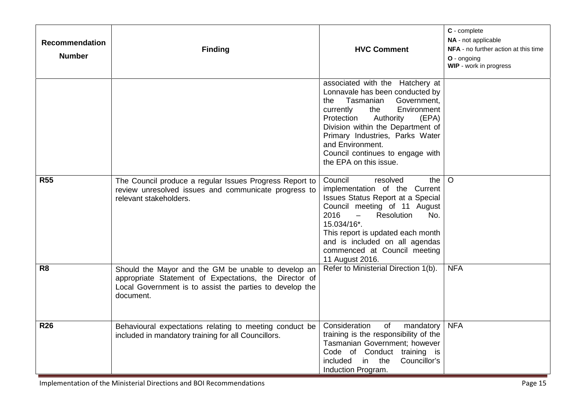| <b>Recommendation</b><br><b>Number</b> | <b>Finding</b>                                                                                                                                                                         | <b>HVC Comment</b>                                                                                                                                                                                                                                                                                                                          | C - complete<br>NA - not applicable<br>NFA - no further action at this time<br>O - ongoing<br>WIP - work in progress |
|----------------------------------------|----------------------------------------------------------------------------------------------------------------------------------------------------------------------------------------|---------------------------------------------------------------------------------------------------------------------------------------------------------------------------------------------------------------------------------------------------------------------------------------------------------------------------------------------|----------------------------------------------------------------------------------------------------------------------|
|                                        |                                                                                                                                                                                        | associated with the Hatchery at<br>Lonnavale has been conducted by<br>Government,<br>Tasmanian<br>the<br>Environment<br>the<br>currently<br>Authority<br>Protection<br>(EPA)<br>Division within the Department of<br>Primary Industries, Parks Water<br>and Environment.<br>Council continues to engage with<br>the EPA on this issue.      |                                                                                                                      |
| <b>R55</b>                             | The Council produce a regular Issues Progress Report to<br>review unresolved issues and communicate progress to<br>relevant stakeholders.                                              | Council<br>resolved<br>the I<br>implementation of the Current<br><b>Issues Status Report at a Special</b><br>Council meeting of 11 August<br>2016<br>Resolution<br>$\overline{\phantom{m}}$<br>No.<br>15.034/16*.<br>This report is updated each month<br>and is included on all agendas<br>commenced at Council meeting<br>11 August 2016. | $\circ$                                                                                                              |
| R <sub>8</sub>                         | Should the Mayor and the GM be unable to develop an<br>appropriate Statement of Expectations, the Director of<br>Local Government is to assist the parties to develop the<br>document. | Refer to Ministerial Direction 1(b).                                                                                                                                                                                                                                                                                                        | <b>NFA</b>                                                                                                           |
| <b>R26</b>                             | Behavioural expectations relating to meeting conduct be<br>included in mandatory training for all Councillors.                                                                         | Consideration<br>of<br>mandatory<br>training is the responsibility of the<br>Tasmanian Government; however<br>Code of Conduct training is<br>included<br>in the<br>Councillor's<br>Induction Program.                                                                                                                                       | <b>NFA</b>                                                                                                           |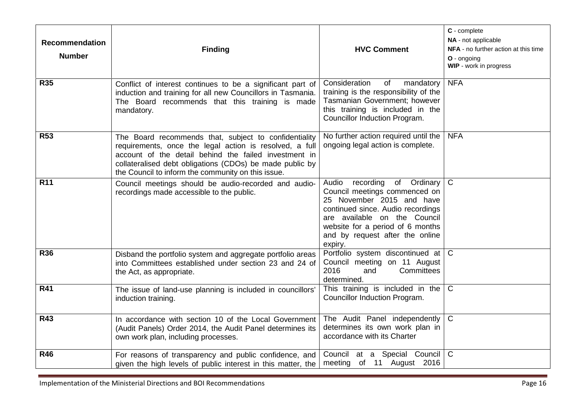| <b>Recommendation</b><br><b>Number</b> | <b>Finding</b>                                                                                                                                                                                                                                                                              | <b>HVC Comment</b>                                                                                                                                                                                                                                        | C - complete<br>NA - not applicable<br>NFA - no further action at this time<br>O - ongoing<br>WIP - work in progress |
|----------------------------------------|---------------------------------------------------------------------------------------------------------------------------------------------------------------------------------------------------------------------------------------------------------------------------------------------|-----------------------------------------------------------------------------------------------------------------------------------------------------------------------------------------------------------------------------------------------------------|----------------------------------------------------------------------------------------------------------------------|
| <b>R35</b>                             | Conflict of interest continues to be a significant part of<br>induction and training for all new Councillors in Tasmania.<br>The Board recommends that this training is made<br>mandatory.                                                                                                  | Consideration<br>of<br>mandatory<br>training is the responsibility of the<br>Tasmanian Government; however<br>this training is included in the<br>Councillor Induction Program.                                                                           | <b>NFA</b>                                                                                                           |
| <b>R53</b>                             | The Board recommends that, subject to confidentiality<br>requirements, once the legal action is resolved, a full<br>account of the detail behind the failed investment in<br>collateralised debt obligations (CDOs) be made public by<br>the Council to inform the community on this issue. | No further action required until the<br>ongoing legal action is complete.                                                                                                                                                                                 | <b>NFA</b>                                                                                                           |
| <b>R11</b>                             | Council meetings should be audio-recorded and audio-<br>recordings made accessible to the public.                                                                                                                                                                                           | Audio<br>recording<br>of<br>Ordinary<br>Council meetings commenced on<br>25 November 2015 and have<br>continued since. Audio recordings<br>are available on the Council<br>website for a period of 6 months<br>and by request after the online<br>expiry. | $\mathsf{C}$                                                                                                         |
| <b>R36</b>                             | Disband the portfolio system and aggregate portfolio areas<br>into Committees established under section 23 and 24 of<br>the Act, as appropriate.                                                                                                                                            | Portfolio system discontinued at<br>Council meeting on 11 August<br>2016<br>Committees<br>and<br>determined.                                                                                                                                              | $\mathsf{C}$                                                                                                         |
| <b>R41</b>                             | The issue of land-use planning is included in councillors'<br>induction training.                                                                                                                                                                                                           | This training is included in the<br>Councillor Induction Program.                                                                                                                                                                                         | $\mathsf{C}$                                                                                                         |
| R43                                    | In accordance with section 10 of the Local Government<br>(Audit Panels) Order 2014, the Audit Panel determines its<br>own work plan, including processes.                                                                                                                                   | The Audit Panel independently<br>determines its own work plan in<br>accordance with its Charter                                                                                                                                                           | $\mathsf{C}$                                                                                                         |
| <b>R46</b>                             | For reasons of transparency and public confidence, and<br>given the high levels of public interest in this matter, the                                                                                                                                                                      | Council at a Special Council<br>meeting of 11 August 2016                                                                                                                                                                                                 | $\mathsf{C}$                                                                                                         |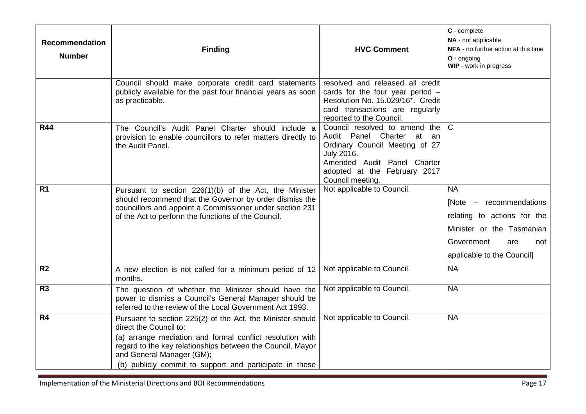| <b>Recommendation</b><br><b>Number</b> | <b>Finding</b>                                                                                                                                                                                                                                                                                          | <b>HVC Comment</b>                                                                                                                                                                                      | C - complete<br>NA - not applicable<br>NFA - no further action at this time<br>O - onaoina<br>WIP - work in progress                                       |
|----------------------------------------|---------------------------------------------------------------------------------------------------------------------------------------------------------------------------------------------------------------------------------------------------------------------------------------------------------|---------------------------------------------------------------------------------------------------------------------------------------------------------------------------------------------------------|------------------------------------------------------------------------------------------------------------------------------------------------------------|
|                                        | Council should make corporate credit card statements<br>publicly available for the past four financial years as soon<br>as practicable.                                                                                                                                                                 | resolved and released all credit<br>cards for the four year period $-$<br>Resolution No. 15.029/16*. Credit<br>card transactions are regularly<br>reported to the Council.                              |                                                                                                                                                            |
| <b>R44</b>                             | The Council's Audit Panel Charter should include a<br>provision to enable councillors to refer matters directly to<br>the Audit Panel.                                                                                                                                                                  | Council resolved to amend the<br>Audit Panel Charter at<br>an<br>Ordinary Council Meeting of 27<br><b>July 2016.</b><br>Amended Audit Panel Charter<br>adopted at the February 2017<br>Council meeting. | $\mathsf{C}$                                                                                                                                               |
| R <sub>1</sub>                         | Pursuant to section 226(1)(b) of the Act, the Minister<br>should recommend that the Governor by order dismiss the<br>councillors and appoint a Commissioner under section 231<br>of the Act to perform the functions of the Council.                                                                    | Not applicable to Council.                                                                                                                                                                              | <b>NA</b><br>[Note – recommendations<br>relating to actions for the<br>Minister or the Tasmanian<br>Government<br>are<br>not<br>applicable to the Council] |
| R <sub>2</sub>                         | A new election is not called for a minimum period of 12<br>months.                                                                                                                                                                                                                                      | Not applicable to Council.                                                                                                                                                                              | <b>NA</b>                                                                                                                                                  |
| R <sub>3</sub>                         | The question of whether the Minister should have the<br>power to dismiss a Council's General Manager should be<br>referred to the review of the Local Government Act 1993.                                                                                                                              | Not applicable to Council.                                                                                                                                                                              | $N_A$                                                                                                                                                      |
| R <sub>4</sub>                         | Pursuant to section 225(2) of the Act, the Minister should<br>direct the Council to:<br>(a) arrange mediation and formal conflict resolution with<br>regard to the key relationships between the Council, Mayor<br>and General Manager (GM);<br>(b) publicly commit to support and participate in these | Not applicable to Council.                                                                                                                                                                              | <b>NA</b>                                                                                                                                                  |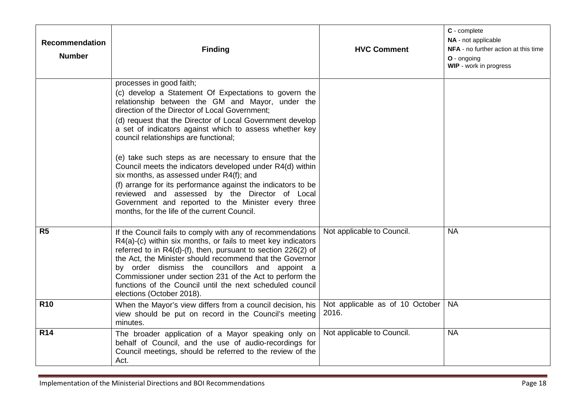| <b>Recommendation</b><br><b>Number</b> | <b>Finding</b>                                                                                                                                                                                                                                                                                                                                                                                                                                                                                                                                                                                                                                                                                                                                        | <b>HVC Comment</b>                       | C - complete<br>NA - not applicable<br>NFA - no further action at this time<br>O - ongoing<br>WIP - work in progress |
|----------------------------------------|-------------------------------------------------------------------------------------------------------------------------------------------------------------------------------------------------------------------------------------------------------------------------------------------------------------------------------------------------------------------------------------------------------------------------------------------------------------------------------------------------------------------------------------------------------------------------------------------------------------------------------------------------------------------------------------------------------------------------------------------------------|------------------------------------------|----------------------------------------------------------------------------------------------------------------------|
|                                        | processes in good faith;<br>(c) develop a Statement Of Expectations to govern the<br>relationship between the GM and Mayor, under the<br>direction of the Director of Local Government;<br>(d) request that the Director of Local Government develop<br>a set of indicators against which to assess whether key<br>council relationships are functional;<br>(e) take such steps as are necessary to ensure that the<br>Council meets the indicators developed under R4(d) within<br>six months, as assessed under R4(f); and<br>(f) arrange for its performance against the indicators to be<br>reviewed and assessed by the Director of Local<br>Government and reported to the Minister every three<br>months, for the life of the current Council. |                                          |                                                                                                                      |
| R <sub>5</sub>                         | If the Council fails to comply with any of recommendations<br>R4(a)-(c) within six months, or fails to meet key indicators<br>referred to in R4(d)-(f), then, pursuant to section 226(2) of<br>the Act, the Minister should recommend that the Governor<br>by order dismiss the councillors and appoint a<br>Commissioner under section 231 of the Act to perform the<br>functions of the Council until the next scheduled council<br>elections (October 2018).                                                                                                                                                                                                                                                                                       | Not applicable to Council.               | <b>NA</b>                                                                                                            |
| <b>R10</b>                             | When the Mayor's view differs from a council decision, his<br>view should be put on record in the Council's meeting<br>minutes.                                                                                                                                                                                                                                                                                                                                                                                                                                                                                                                                                                                                                       | Not applicable as of 10 October<br>2016. | <b>NA</b>                                                                                                            |
| <b>R14</b>                             | The broader application of a Mayor speaking only on<br>behalf of Council, and the use of audio-recordings for<br>Council meetings, should be referred to the review of the<br>Act.                                                                                                                                                                                                                                                                                                                                                                                                                                                                                                                                                                    | Not applicable to Council.               | <b>NA</b>                                                                                                            |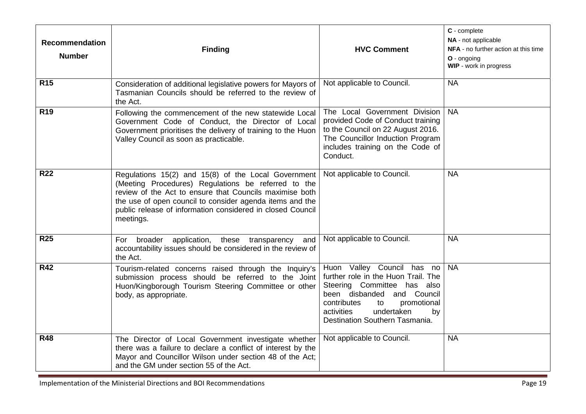| <b>Recommendation</b><br><b>Number</b> | <b>Finding</b>                                                                                                                                                                                                                                                                                               | <b>HVC Comment</b>                                                                                                                                                                                                                     | C - complete<br>NA - not applicable<br>NFA - no further action at this time<br>O - ongoing<br>WIP - work in progress |
|----------------------------------------|--------------------------------------------------------------------------------------------------------------------------------------------------------------------------------------------------------------------------------------------------------------------------------------------------------------|----------------------------------------------------------------------------------------------------------------------------------------------------------------------------------------------------------------------------------------|----------------------------------------------------------------------------------------------------------------------|
| <b>R15</b>                             | Consideration of additional legislative powers for Mayors of<br>Tasmanian Councils should be referred to the review of<br>the Act.                                                                                                                                                                           | Not applicable to Council.                                                                                                                                                                                                             | <b>NA</b>                                                                                                            |
| <b>R19</b>                             | Following the commencement of the new statewide Local<br>Government Code of Conduct, the Director of Local<br>Government prioritises the delivery of training to the Huon<br>Valley Council as soon as practicable.                                                                                          | The Local Government Division<br>provided Code of Conduct training<br>to the Council on 22 August 2016.<br>The Councillor Induction Program<br>includes training on the Code of<br>Conduct.                                            | <b>NA</b>                                                                                                            |
| <b>R22</b>                             | Regulations 15(2) and 15(8) of the Local Government<br>(Meeting Procedures) Regulations be referred to the<br>review of the Act to ensure that Councils maximise both<br>the use of open council to consider agenda items and the<br>public release of information considered in closed Council<br>meetings. | Not applicable to Council.                                                                                                                                                                                                             | <b>NA</b>                                                                                                            |
| <b>R25</b>                             | broader application, these transparency<br>and<br>For<br>accountability issues should be considered in the review of<br>the Act.                                                                                                                                                                             | Not applicable to Council.                                                                                                                                                                                                             | <b>NA</b>                                                                                                            |
| <b>R42</b>                             | Tourism-related concerns raised through the Inquiry's<br>submission process should be referred to the Joint<br>Huon/Kingborough Tourism Steering Committee or other<br>body, as appropriate.                                                                                                                 | Huon Valley Council has no<br>further role in the Huon Trail. The<br>Steering Committee has also<br>been disbanded and Council<br>contributes<br>promotional<br>to<br>undertaken<br>activities<br>by<br>Destination Southern Tasmania. | <b>NA</b>                                                                                                            |
| <b>R48</b>                             | The Director of Local Government investigate whether<br>there was a failure to declare a conflict of interest by the<br>Mayor and Councillor Wilson under section 48 of the Act;<br>and the GM under section 55 of the Act.                                                                                  | Not applicable to Council.                                                                                                                                                                                                             | <b>NA</b>                                                                                                            |